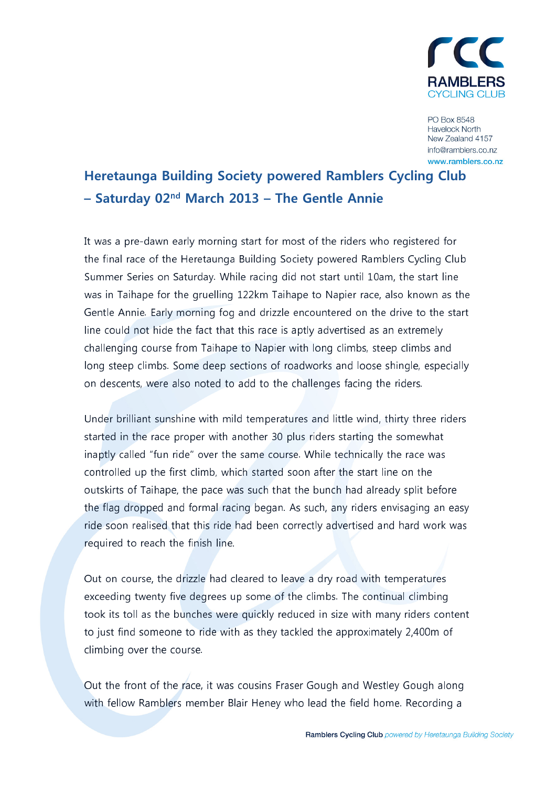

PO Box 8548 **Havelock North** New Zealand 4157 info@ramblers.co.nz www.ramblers.co.nz

# **Heretaunga Building Society powered Ramblers Cycling Club** - Saturday  $02<sup>nd</sup>$  March 2013 - The Gentle Annie

It was a pre-dawn early morning start for most of the riders who registered for the final race of the Heretaunga Building Society powered Ramblers Cycling Club Summer Series on Saturday. While racing did not start until 10am, the start line was in Taihape for the gruelling 122km Taihape to Napier race, also known as the Gentle Annie. Early morning fog and drizzle encountered on the drive to the start line could not hide the fact that this race is aptly advertised as an extremely challenging course from Taihape to Napier with long climbs, steep climbs and long steep climbs. Some deep sections of roadworks and loose shingle, especially on descents, were also noted to add to the challenges facing the riders.

Under brilliant sunshine with mild temperatures and little wind, thirty three riders started in the race proper with another 30 plus riders starting the somewhat inaptly called "fun ride" over the same course. While technically the race was controlled up the first climb, which started soon after the start line on the outskirts of Taihape, the pace was such that the bunch had already split before the flag dropped and formal racing began. As such, any riders envisaging an easy ride soon realised that this ride had been correctly advertised and hard work was required to reach the finish line.

Out on course, the drizzle had cleared to leave a dry road with temperatures exceeding twenty five degrees up some of the climbs. The continual climbing took its toll as the bunches were quickly reduced in size with many riders content to just find someone to ride with as they tackled the approximately 2,400m of climbing over the course.

Out the front of the race, it was cousins Fraser Gough and Westley Gough along with fellow Ramblers member Blair Heney who lead the field home. Recording a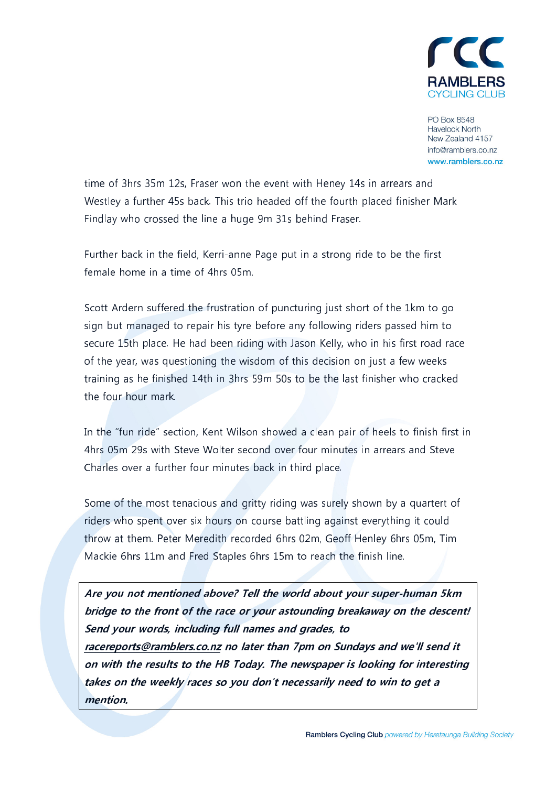

PO Box 8548 **Havelock North** New Zealand 4157 info@ramblers.co.nz www.ramblers.co.nz

time of 3hrs 35m 12s, Fraser won the event with Heney 14s in arrears and Westley a further 45s back. This trio headed off the fourth placed finisher Mark Findlay who crossed the line a huge 9m 31s behind Fraser.

Further back in the field, Kerri-anne Page put in a strong ride to be the first female home in a time of 4hrs 05m

Scott Ardern suffered the frustration of puncturing just short of the 1km to go sign but managed to repair his tyre before any following riders passed him to secure 15th place. He had been riding with Jason Kelly, who in his first road race of the year, was questioning the wisdom of this decision on just a few weeks training as he finished 14th in 3hrs 59m 50s to be the last finisher who cracked the four hour mark.

In the "fun ride" section, Kent Wilson showed a clean pair of heels to finish first in 4hrs 05m 29s with Steve Wolter second over four minutes in arrears and Steve Charles over a further four minutes back in third place.

Some of the most tenacious and gritty riding was surely shown by a quartert of riders who spent over six hours on course battling against everything it could throw at them. Peter Meredith recorded 6hrs 02m, Geoff Henley 6hrs 05m, Tim Mackie 6hrs 11m and Fred Staples 6hrs 15m to reach the finish line.

Are you not mentioned above? Tell the world about your super-human 5km bridge to the front of the race or your astounding breakaway on the descent! Send your words, including full names and grades, to racereports@ramblers.co.nz no later than 7pm on Sundays and we'll send it on with the results to the HB Today. The newspaper is looking for interesting takes on the weekly races so you don't necessarily need to win to get a mention.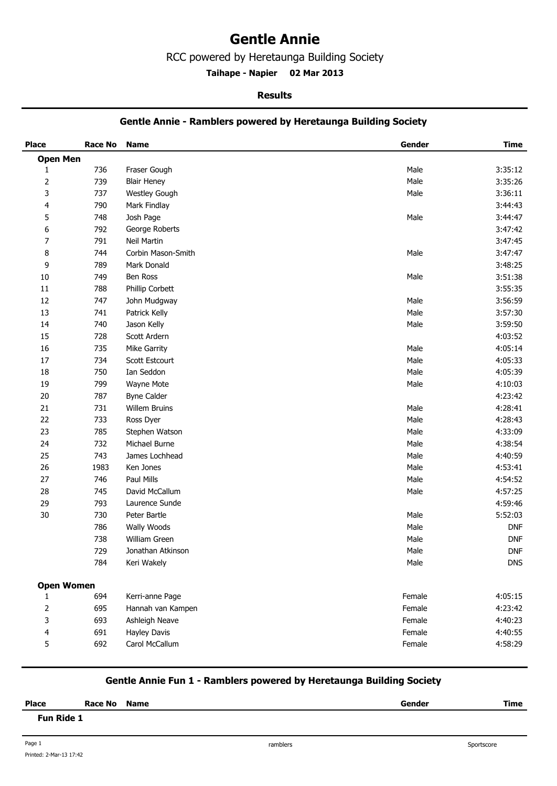## **Gentle Annie**

RCC powered by Heretaunga Building Society

**Taihape - Napier 02 Mar 2013 .** 

#### **Results**

#### **Gentle Annie - Ramblers powered by Heretaunga Building Society**

| <b>Place</b>      | <b>Race No</b> | <b>Name</b>        | Gender | <b>Time</b> |
|-------------------|----------------|--------------------|--------|-------------|
| <b>Open Men</b>   |                |                    |        |             |
| 1                 | 736            | Fraser Gough       | Male   | 3:35:12     |
| $\overline{2}$    | 739            | <b>Blair Heney</b> | Male   | 3:35:26     |
| 3                 | 737            | Westley Gough      | Male   | 3:36:11     |
| 4                 | 790            | Mark Findlay       |        | 3:44:43     |
| 5                 | 748            | Josh Page          | Male   | 3:44:47     |
| 6                 | 792            | George Roberts     |        | 3:47:42     |
| $\overline{7}$    | 791            | Neil Martin        |        | 3:47:45     |
| 8                 | 744            | Corbin Mason-Smith | Male   | 3:47:47     |
| 9                 | 789            | Mark Donald        |        | 3:48:25     |
| $10\,$            | 749            | Ben Ross           | Male   | 3:51:38     |
| $11\,$            | 788            | Phillip Corbett    |        | 3:55:35     |
| 12                | 747            | John Mudgway       | Male   | 3:56:59     |
| 13                | 741            | Patrick Kelly      | Male   | 3:57:30     |
| 14                | 740            | Jason Kelly        | Male   | 3:59:50     |
| 15                | 728            | Scott Ardern       |        | 4:03:52     |
| 16                | 735            | Mike Garrity       | Male   | 4:05:14     |
| $17\,$            | 734            | Scott Estcourt     | Male   | 4:05:33     |
| 18                | 750            | Ian Seddon         | Male   | 4:05:39     |
| 19                | 799            | Wayne Mote         | Male   | 4:10:03     |
| $20\,$            | 787            | <b>Byne Calder</b> |        | 4:23:42     |
| 21                | 731            | Willem Bruins      | Male   | 4:28:41     |
| 22                | 733            | Ross Dyer          | Male   | 4:28:43     |
| 23                | 785            | Stephen Watson     | Male   | 4:33:09     |
| 24                | 732            | Michael Burne      | Male   | 4:38:54     |
| 25                | 743            | James Lochhead     | Male   | 4:40:59     |
| 26                | 1983           | Ken Jones          | Male   | 4:53:41     |
| 27                | 746            | Paul Mills         | Male   | 4:54:52     |
| 28                | 745            | David McCallum     | Male   | 4:57:25     |
| 29                | 793            | Laurence Sunde     |        | 4:59:46     |
| $30\,$            | 730            | Peter Bartle       | Male   | 5:52:03     |
|                   | 786            | Wally Woods        | Male   | <b>DNF</b>  |
|                   | 738            | William Green      | Male   | <b>DNF</b>  |
|                   | 729            | Jonathan Atkinson  | Male   | <b>DNF</b>  |
|                   | 784            | Keri Wakely        | Male   | <b>DNS</b>  |
|                   |                |                    |        |             |
| <b>Open Women</b> |                |                    |        |             |
| 1                 | 694            | Kerri-anne Page    | Female | 4:05:15     |
| 2                 | 695            | Hannah van Kampen  | Female | 4:23:42     |
| 3                 | 693            | Ashleigh Neave     | Female | 4:40:23     |
| 4                 | 691            | Hayley Davis       | Female | 4:40:55     |
| 5                 | 692            | Carol McCallum     | Female | 4:58:29     |

### **Gentle Annie Fun 1 - Ramblers powered by Heretaunga Building Society**

| <b>Place</b>      | <b>Race No</b> | <b>Name</b> | Gender | Time |
|-------------------|----------------|-------------|--------|------|
| <b>Fun Ride 1</b> |                |             |        |      |